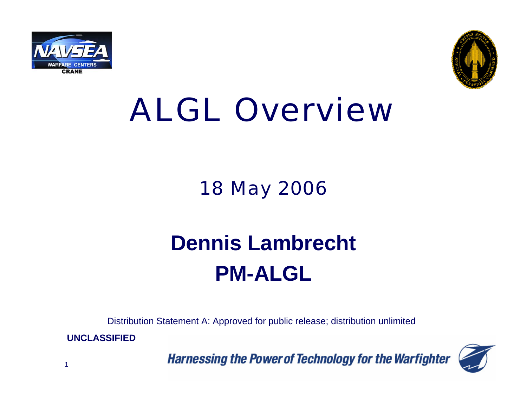



# ALGL Overview

### 18 May 2006

## **Dennis Lambrecht PM-ALGL**

Distribution Statement A: Approved for public release; distribution unlimited

**UNCLASSIFIED**

1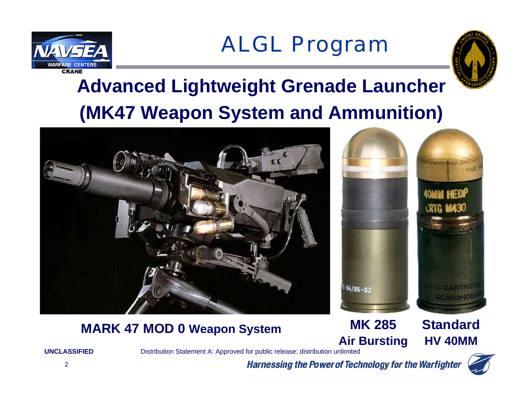



## **Advanced Lightweight Grenade Launcher (MK47 Weapon System and Ammunition)**





#### **MK 285Air Bursting MARK 47 MOD 0 Weapon System StandardHV 40MM**



**UNCLASSIFIED**

Distribution Statement A: Approved for public release; distribution unlimited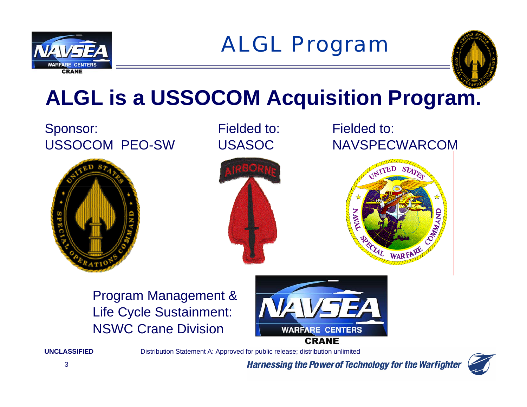



## **ALGL is a USSOCOM Acquisition Program.**

#### Sponsor: Fielded to: Fielded to: Fielded to: USSOCOM PEO-SW USASOC NAVSPECWARCOM





Program Management & Life Cycle Sustainment: NSWC Crane Division



**CRANE** 

Distribution Statement A: Approved for public release; distribution unlimited

**Harnessing the Power of Technology for the Warfighter** 



**UNCLASSIFIED**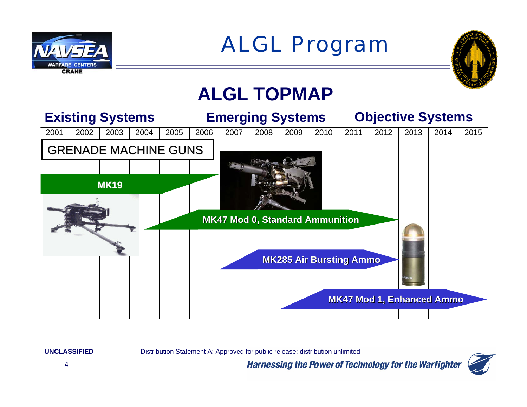



### **ALGL TOPMAP**



**UNCLASSIFIED**

Distribution Statement A: Approved for public release; distribution unlimited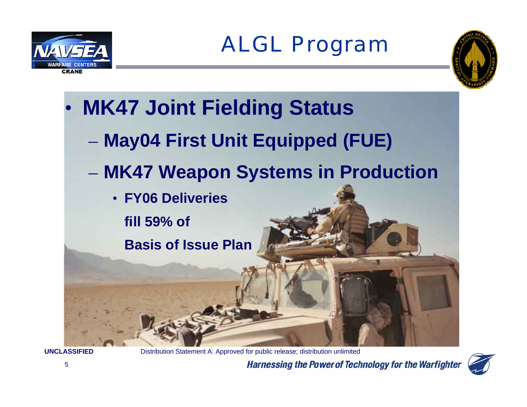







**UNCLASSIFIED**

Distribution Statement A: Approved for public release; distribution unlimited

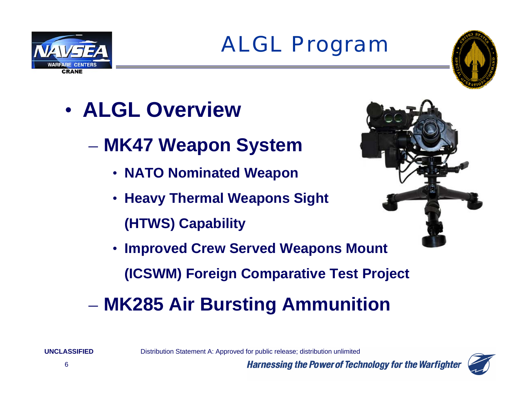



### • **ALGL Overview**

- **MK47 Weapon System**
	- **NATO Nominated Weapon**
	- **Heavy Thermal Weapons Sight (HTWS) Capability**



• **Improved Crew Served Weapons Mount**

**(ICSWM) Foreign Comparative Test Project**

### **MK285 Air Bursting Ammunition**

Distribution Statement A: Approved for public release; distribution unlimited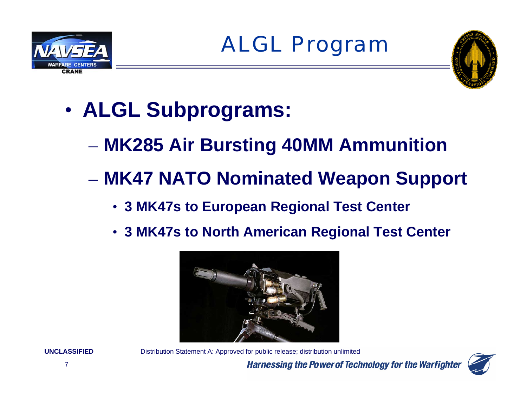



- • **ALGL Subprograms:** 
	- **MK285 Air Bursting 40MM Ammunition**
	- **MK47 NATO Nominated Weapon Support**
		- **3 MK47s to European Regional Test Center**
		- **3 MK47s to North American Regional Test Center**



**UNCLASSIFIED**

 Distribution Statement A: Approved for public release; distribution unlimited **Harnessing the Power of Technology for the Warfighter** 

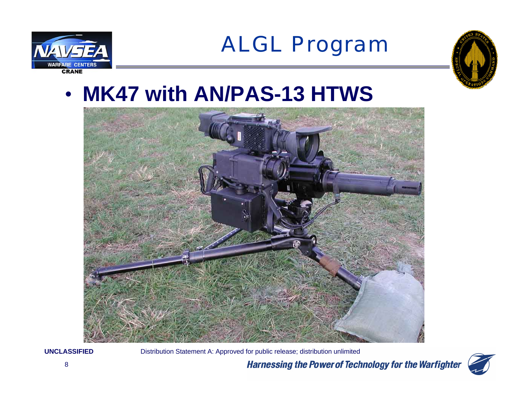



### • **MK47 with AN/PAS-13 HTWS**



**UNCLASSIFIED**

Distribution Statement A: Approved for public release; distribution unlimited

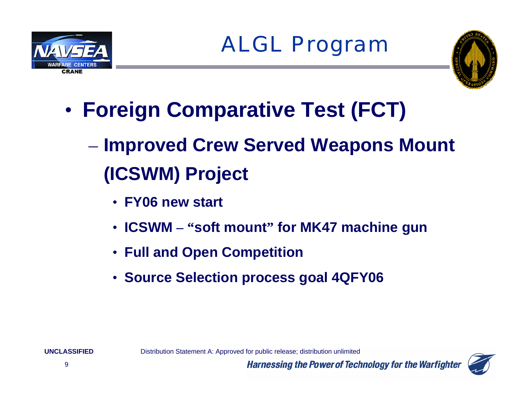



- • **Foreign Comparative Test (FCT)**
	- **Improved Crew Served Weapons Mount (ICSWM) Project**
		- **FY06 new start**
		- **ICSWM – "soft mount" for MK47 machine gun**
		- **Full and Open Competition**
		- **Source Selection process goal 4QFY06**

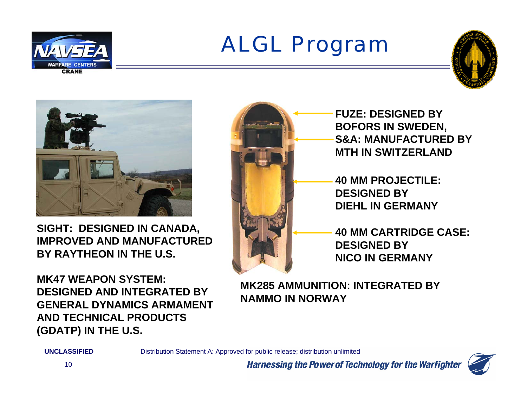





**SIGHT: DESIGNED IN CANADA, IMPROVED AND MANUFACTURED BY RAYTHEON IN THE U.S.** 

**MK47 WEAPON SYSTEM: DESIGNED AND INTEGRATED BY GENERAL DYNAMICS ARMAMENT AND TECHNICAL PRODUCTS (GDATP) IN THE U.S.** 



**FUZE: DESIGNED BYBOFORS IN SWEDEN, S&A: MANUFACTURED BYMTH IN SWITZERLAND**

**40 MM PROJECTILE: DESIGNED BYDIEHL IN GERMANY**

**40 MM CARTRIDGE CASE: DESIGNED BYNICO IN GERMANY**

**MK285 AMMUNITION: INTEGRATED BYNAMMO IN NORWAY**

**UNCLASSIFIED**

Distribution Statement A: Approved for public release; distribution unlimited

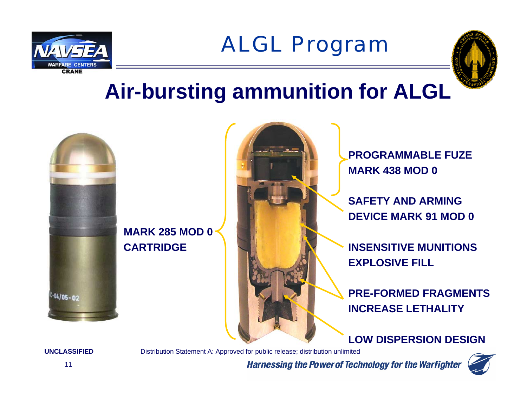



### **Air-bursting ammunition for ALGL**



**MARK 285 MOD 0** 

**PROGRAMMABLE FUZEMARK 438 MOD 0**

**SAFETY AND ARMING DEVICE MARK 91 MOD 0**

**CARTRIDGE INSENSITIVE MUNITIONS EXPLOSIVE FILL**

> **PRE-FORMED FRAGMENTSINCREASE LETHALITY**

#### **LOW DISPERSION DESIGN**

**Harnessing the Power of Technology for the Warfighter** 

**UNCLASSIFIED**

Distribution Statement A: Approved for public release; distribution unlimited

11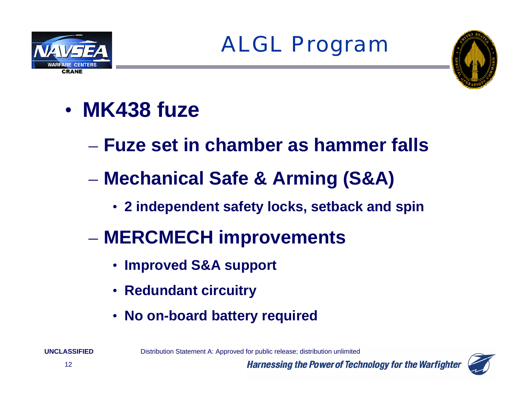



- **MK438 fuze**
	- **Fuze set in chamber as hammer falls**
	- **Mechanical Safe & Arming (S&A)** 
		- **2 independent safety locks, setback and spin**
	- **MERCMECH improvements**
		- **Improved S&A support**
		- **Redundant circuitry**
		- **No on-board battery required**

Distribution Statement A: Approved for public release; distribution unlimited

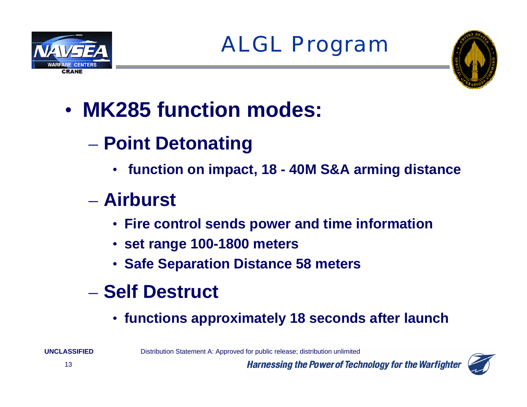





## • **MK285 function modes:**

- **Point Detonating**
	- **function on impact, 18 - 40M S&A arming distance**

### – **Airburst**

- **Fire control sends power and time information**
- **set range 100-1800 meters**
- **Safe Separation Distance 58 meters**
- **Self Destruct**
	- **functions approximately 18 seconds after launch**

Distribution Statement A: Approved for public release; distribution unlimited

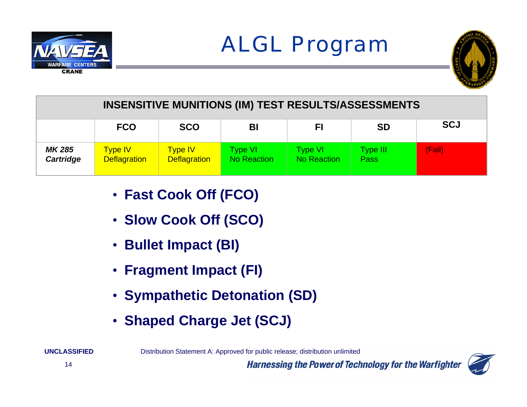



| <b>INSENSITIVE MUNITIONS (IM) TEST RESULTS/ASSESSMENTS</b> |                                       |                                       |                                |                                      |                          |            |
|------------------------------------------------------------|---------------------------------------|---------------------------------------|--------------------------------|--------------------------------------|--------------------------|------------|
|                                                            | <b>FCO</b>                            | <b>SCO</b>                            | BI                             | FI                                   | <b>SD</b>                | <b>SCJ</b> |
| MK 285<br>Cartridge                                        | <b>Type IV</b><br><b>Deflagration</b> | <b>Type IV</b><br><b>Deflagration</b> | Type VI.<br><b>No Reaction</b> | <b>Type VI</b><br><b>No Reaction</b> | Type III.<br><b>Pass</b> | (Fail)     |

- **Fast Cook Off (FCO)**
- **Slow Cook Off (SCO)**
- **Bullet Impact (BI)**
- **Fragment Impact (FI)**
- **Sympathetic Detonation (SD)**
- **Shaped Charge Jet (SCJ)**

Distribution Statement A: Approved for public release; distribution unlimited

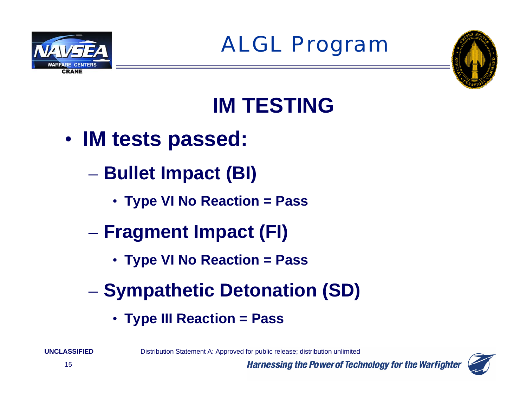



## **IM TESTING**

- $\bullet$  **IM tests passed:**
	- **Bullet Impact (BI)**
		- **Type VI No Reaction = Pass**
	- **Fragment Impact (FI)**
		- **Type VI No Reaction = Pass**
	- **Sympathetic Detonation (SD)** 
		- **Type III Reaction = Pass**

Distribution Statement A: Approved for public release; distribution unlimited



**UNCLASSIFIED**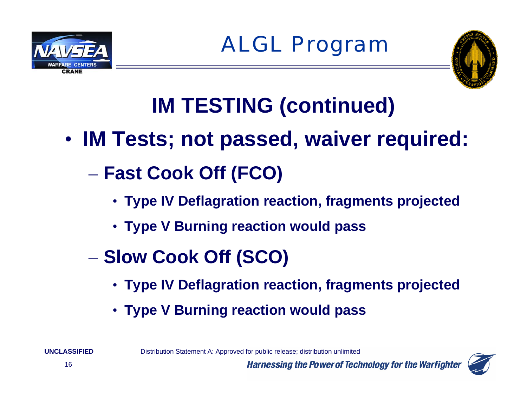





## **IM TESTING (continued)**

- $\bullet$  **IM Tests; not passed, waiver required:** 
	- **Fast Cook Off (FCO)**
		- **Type IV Deflagration reaction, fragments projected**
		- **Type V Burning reaction would pass**
	- **Slow Cook Off (SCO)**
		- **Type IV Deflagration reaction, fragments projected**

**Harnessing the Power of Technology for the Warfighter** 

• **Type V Burning reaction would pass**

Distribution Statement A: Approved for public release; distribution unlimited

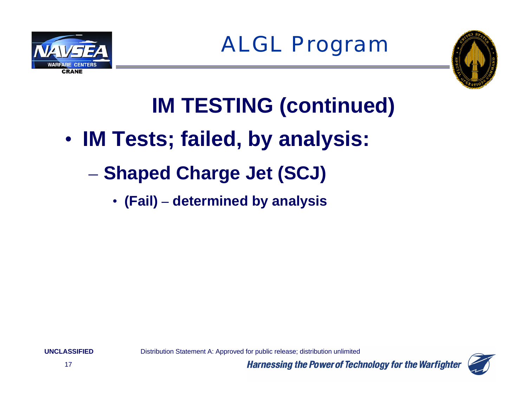



## **IM TESTING (continued)**

- $\bullet$  **IM Tests; failed, by analysis:** 
	- **Shaped Charge Jet (SCJ)**
		- **(Fail) – determined by analysis**

**UNCLASSIFIED**

Distribution Statement A: Approved for public release; distribution unlimited

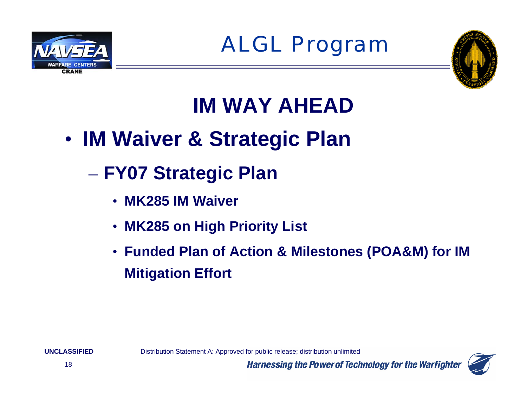



## **IM WAY AHEAD**

- $\bullet$  **IM Waiver & Strategic Plan**
	- **FY07 Strategic Plan**
		- **MK285 IM Waiver**
		- **MK285 on High Priority List**
		- **Funded Plan of Action & Milestones (POA&M) for IM Mitigation Effort**

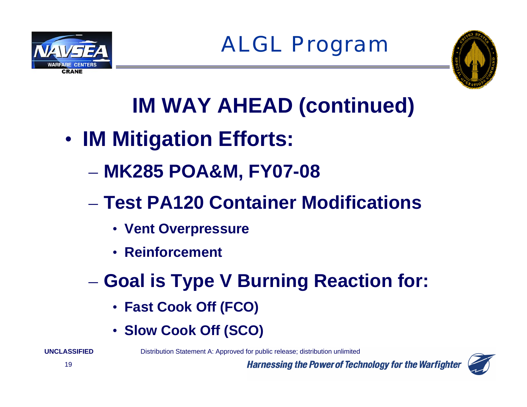



## **IM WAY AHEAD (continued)**

- $\bullet$  **IM Mitigation Efforts:** 
	- **MK285 POA&M, FY07-08**
	- **Test PA120 Container Modifications**
		- **Vent Overpressure**
		- **Reinforcement**
	- **Goal is Type V Burning Reaction for:** 
		- **Fast Cook Off (FCO)**
		- **Slow Cook Off (SCO)**

Distribution Statement A: Approved for public release; distribution unlimited

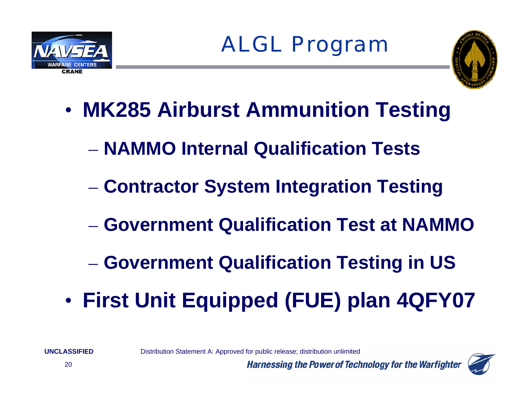





- • **MK285 Airburst Ammunition Testing**
	- **NAMMO Internal Qualification Tests**
	- **Contractor System Integration Testing**
	- **Government Qualification Test at NAMMO**
	- **Government Qualification Testing in US**
- $\bullet$ **First Unit Equipped (FUE) plan 4QFY07**

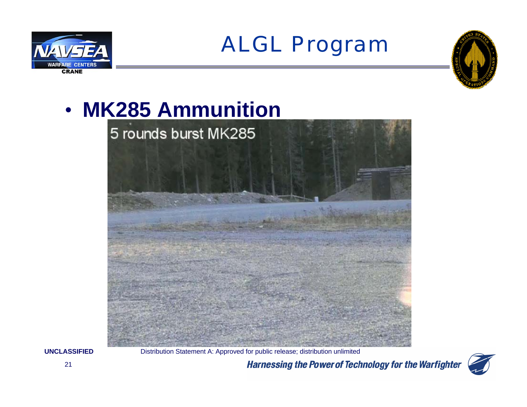



## • **MK285 Ammunition**



**UNCLASSIFIED**

Distribution Statement A: Approved for public release; distribution unlimited

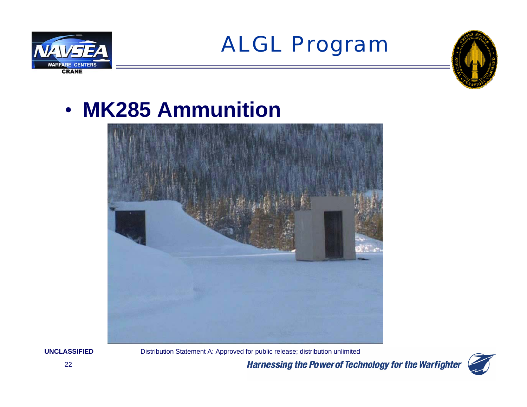



### • **MK285 Ammunition**



#### **UNCLASSIFIED**

Distribution Statement A: Approved for public release; distribution unlimited

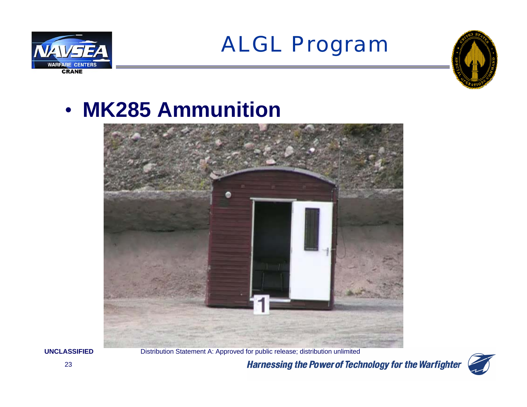



### • **MK285 Ammunition**



**UNCLASSIFIED**

Distribution Statement A: Approved for public release; distribution unlimited

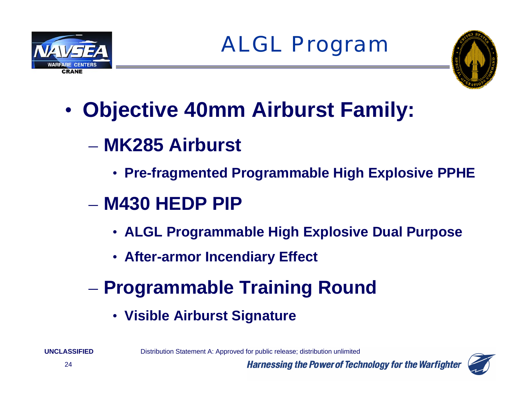





•**Objective 40mm Airburst Family:**

- **MK285 Airburst** 
	- **Pre-fragmented Programmable High Explosive PPHE**
- **M430 HEDP PIP**
	- **ALGL Programmable High Explosive Dual Purpose**

**Harnessing the Power of Technology for the Warfighter** 

- **After-armor Incendiary Effect**
- **Programmable Training Round**
	- **Visible Airburst Signature**

Distribution Statement A: Approved for public release; distribution unlimited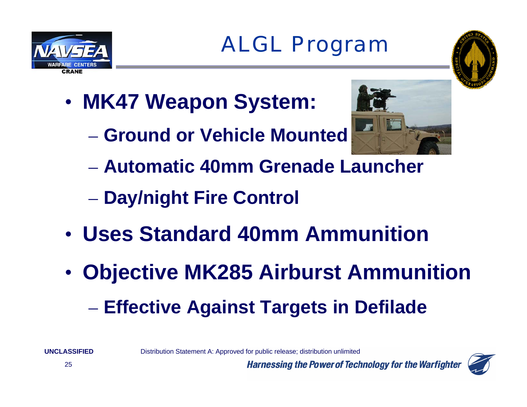

- • **MK47 Weapon System:**
	- **Ground or Vehicle Mounted**



- **Automatic 40mm Grenade Launcher**
- **Day/night Fire Control**
- **Uses Standard 40mm Ammunition**
- $\bullet$  **Objective MK285 Airburst Ammunition Effective Against Targets in Defilade**

Distribution Statement A: Approved for public release; distribution unlimited



**CRANE**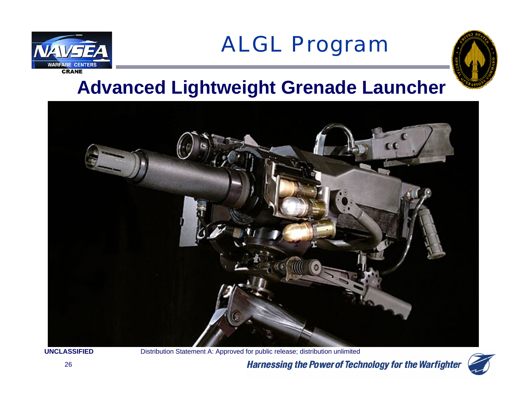



### **Advanced Lightweight Grenade Launcher**



**UNCLASSIFIED**

Distribution Statement A: Approved for public release; distribution unlimited